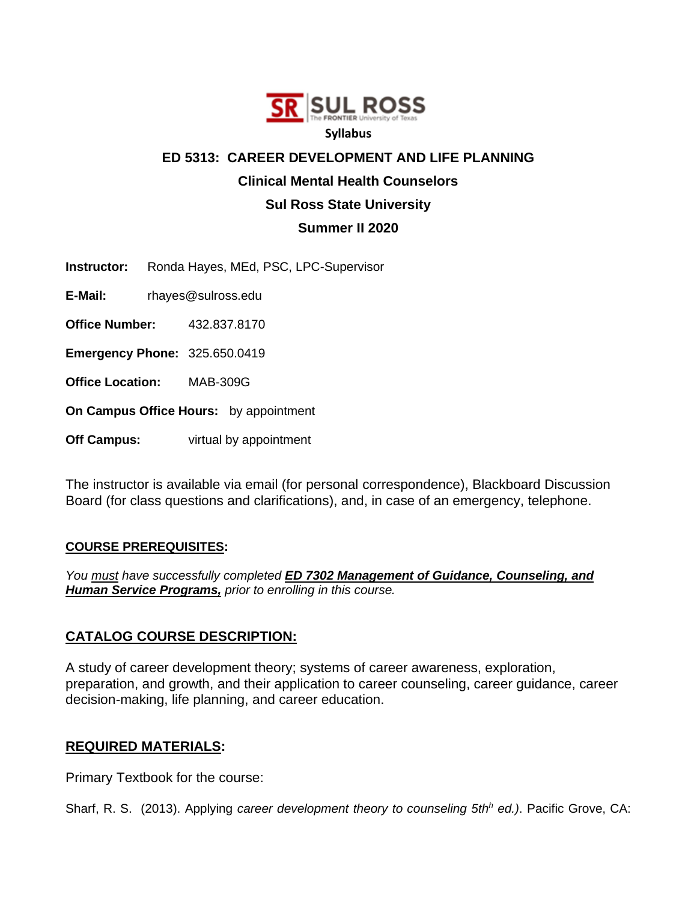

#### **Syllabus**

#### **ED 5313: CAREER DEVELOPMENT AND LIFE PLANNING**

#### **Clinical Mental Health Counselors**

## **Sul Ross State University**

## **Summer II 2020**

**Instructor:** Ronda Hayes, MEd, PSC, LPC-Supervisor

**E-Mail:** rhayes@sulross.edu

**Office Number:** 432.837.8170

**Emergency Phone:** 325.650.0419

**Office Location:** MAB-309G

**On Campus Office Hours:** by appointment

**Off Campus:** virtual by appointment

The instructor is available via email (for personal correspondence), Blackboard Discussion Board (for class questions and clarifications), and, in case of an emergency, telephone.

#### **COURSE PREREQUISITES:**

*You must have successfully completed ED 7302 Management of Guidance, Counseling, and Human Service Programs, prior to enrolling in this course.*

## **CATALOG COURSE DESCRIPTION:**

A study of career development theory; systems of career awareness, exploration, preparation, and growth, and their application to career counseling, career guidance, career decision-making, life planning, and career education.

## **REQUIRED MATERIALS:**

Primary Textbook for the course:

Sharf, R. S. (2013). Applying *career development theory to counseling 5th<sup>h</sup> ed.)*. Pacific Grove, CA: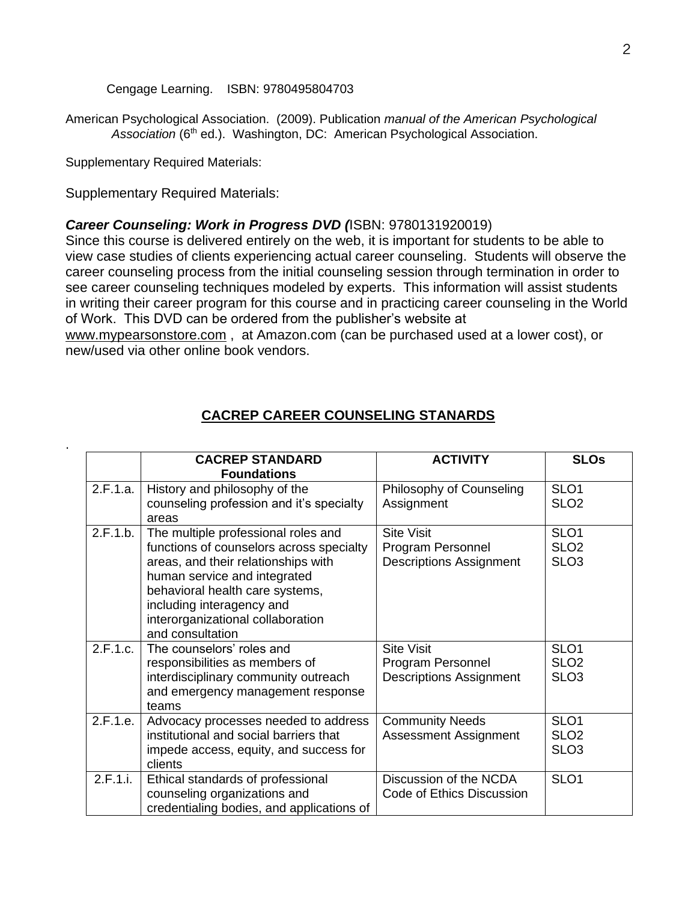Cengage Learning.ISBN: 9780495804703

American Psychological Association. (2009). Publication *manual of the American Psychological*  Association (6<sup>th</sup> ed.). Washington, DC: American Psychological Association.

Supplementary Required Materials:

.

Supplementary Required Materials:

#### *Career Counseling: Work in Progress DVD (*ISBN: 9780131920019)

Since this course is delivered entirely on the web, it is important for students to be able to view case studies of clients experiencing actual career counseling. Students will observe the career counseling process from the initial counseling session through termination in order to see career counseling techniques modeled by experts. This information will assist students in writing their career program for this course and in practicing career counseling in the World of Work. This DVD can be ordered from the publisher's website at

www.mypearsonstore.com , at Amazon.com (can be purchased used at a lower cost), or new/used via other online book vendors.

|          | <b>CACREP STANDARD</b><br><b>Foundations</b>                                                                                                                                                                                                                                    | <b>ACTIVITY</b>                                                          | <b>SLOs</b>                                              |
|----------|---------------------------------------------------------------------------------------------------------------------------------------------------------------------------------------------------------------------------------------------------------------------------------|--------------------------------------------------------------------------|----------------------------------------------------------|
| 2.F.1.a. | History and philosophy of the<br>counseling profession and it's specialty<br>areas                                                                                                                                                                                              | Philosophy of Counseling<br>Assignment                                   | SLO <sub>1</sub><br>SLO <sub>2</sub>                     |
| 2.F.1.b. | The multiple professional roles and<br>functions of counselors across specialty<br>areas, and their relationships with<br>human service and integrated<br>behavioral health care systems,<br>including interagency and<br>interorganizational collaboration<br>and consultation | <b>Site Visit</b><br>Program Personnel<br><b>Descriptions Assignment</b> | SLO <sub>1</sub><br>SLO <sub>2</sub><br>SLO <sub>3</sub> |
| 2.F.1.c. | The counselors' roles and<br>responsibilities as members of<br>interdisciplinary community outreach<br>and emergency management response<br>teams                                                                                                                               | <b>Site Visit</b><br>Program Personnel<br><b>Descriptions Assignment</b> | SLO <sub>1</sub><br>SLO <sub>2</sub><br>SLO <sub>3</sub> |
| 2.F.1.e. | Advocacy processes needed to address<br>institutional and social barriers that<br>impede access, equity, and success for<br>clients                                                                                                                                             | <b>Community Needs</b><br><b>Assessment Assignment</b>                   | SLO <sub>1</sub><br>SLO <sub>2</sub><br>SLO <sub>3</sub> |
| 2.F.1.i. | Ethical standards of professional<br>counseling organizations and<br>credentialing bodies, and applications of                                                                                                                                                                  | Discussion of the NCDA<br>Code of Ethics Discussion                      | SLO <sub>1</sub>                                         |

#### **CACREP CAREER COUNSELING STANARDS**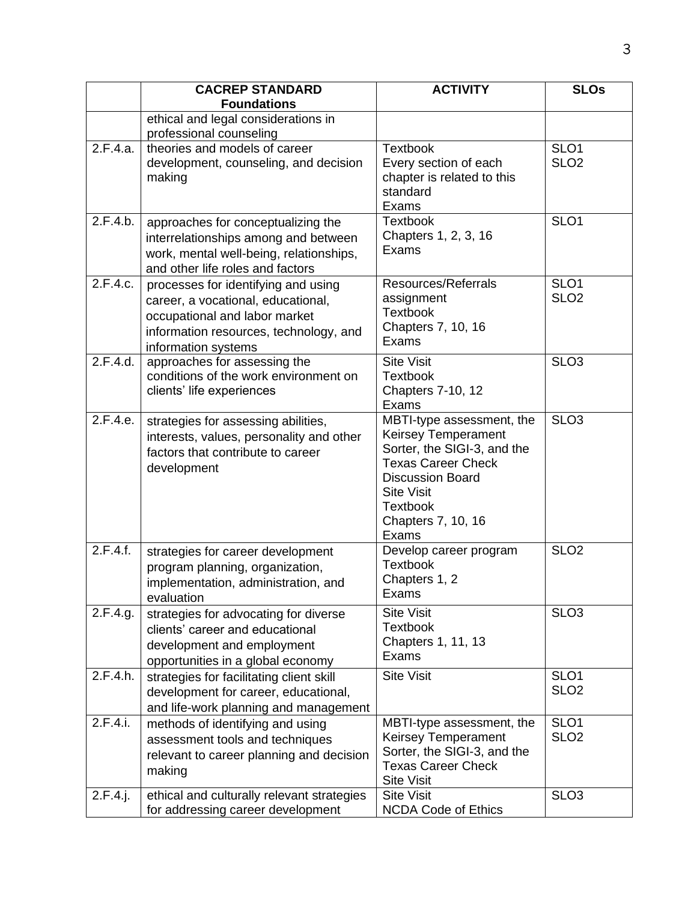|             | <b>CACREP STANDARD</b>                                                                                                                                                      | <b>ACTIVITY</b>                                                                                                                                                                                                       | <b>SLOs</b>                          |
|-------------|-----------------------------------------------------------------------------------------------------------------------------------------------------------------------------|-----------------------------------------------------------------------------------------------------------------------------------------------------------------------------------------------------------------------|--------------------------------------|
|             | <b>Foundations</b>                                                                                                                                                          |                                                                                                                                                                                                                       |                                      |
|             | ethical and legal considerations in                                                                                                                                         |                                                                                                                                                                                                                       |                                      |
|             | professional counseling                                                                                                                                                     |                                                                                                                                                                                                                       |                                      |
| 2.F.4.a.    | theories and models of career<br>development, counseling, and decision<br>making                                                                                            | <b>Textbook</b><br>Every section of each<br>chapter is related to this<br>standard<br>Exams                                                                                                                           | SLO <sub>1</sub><br>SLO <sub>2</sub> |
| 2.F.4.b.    | approaches for conceptualizing the<br>interrelationships among and between<br>work, mental well-being, relationships,<br>and other life roles and factors                   | <b>Textbook</b><br>Chapters 1, 2, 3, 16<br>Exams                                                                                                                                                                      | SLO <sub>1</sub>                     |
| 2.F.4.c.    | processes for identifying and using<br>career, a vocational, educational,<br>occupational and labor market<br>information resources, technology, and<br>information systems | Resources/Referrals<br>assignment<br><b>Textbook</b><br>Chapters 7, 10, 16<br>Exams                                                                                                                                   | SLO <sub>1</sub><br>SLO <sub>2</sub> |
| 2.F.4.d.    | approaches for assessing the<br>conditions of the work environment on<br>clients' life experiences                                                                          | <b>Site Visit</b><br><b>Textbook</b><br><b>Chapters 7-10, 12</b><br>Exams                                                                                                                                             | SLO <sub>3</sub>                     |
| 2.F.4.e.    | strategies for assessing abilities,<br>interests, values, personality and other<br>factors that contribute to career<br>development                                         | MBTI-type assessment, the<br><b>Keirsey Temperament</b><br>Sorter, the SIGI-3, and the<br><b>Texas Career Check</b><br><b>Discussion Board</b><br><b>Site Visit</b><br><b>Textbook</b><br>Chapters 7, 10, 16<br>Exams | SLO <sub>3</sub>                     |
| 2.F.4.f.    | strategies for career development<br>program planning, organization,<br>implementation, administration, and<br>evaluation                                                   | Develop career program<br><b>Textbook</b><br>Chapters 1, 2<br>Exams                                                                                                                                                   | SLO <sub>2</sub>                     |
| 2.F.4.g.    | strategies for advocating for diverse<br>clients' career and educational<br>development and employment<br>opportunities in a global economy                                 | <b>Site Visit</b><br><b>Textbook</b><br>Chapters 1, 11, 13<br>Exams                                                                                                                                                   | SLO <sub>3</sub>                     |
| 2.F.4.h.    | strategies for facilitating client skill<br>development for career, educational,<br>and life-work planning and management                                                   | <b>Site Visit</b>                                                                                                                                                                                                     | SLO <sub>1</sub><br>SLO <sub>2</sub> |
| 2.F.4.i.    | methods of identifying and using<br>assessment tools and techniques<br>relevant to career planning and decision<br>making                                                   | MBTI-type assessment, the<br><b>Keirsey Temperament</b><br>Sorter, the SIGI-3, and the<br><b>Texas Career Check</b><br><b>Site Visit</b>                                                                              | SLO <sub>1</sub><br>SLO <sub>2</sub> |
| $2.F.4.$ j. | ethical and culturally relevant strategies<br>for addressing career development                                                                                             | <b>Site Visit</b><br><b>NCDA Code of Ethics</b>                                                                                                                                                                       | SLO <sub>3</sub>                     |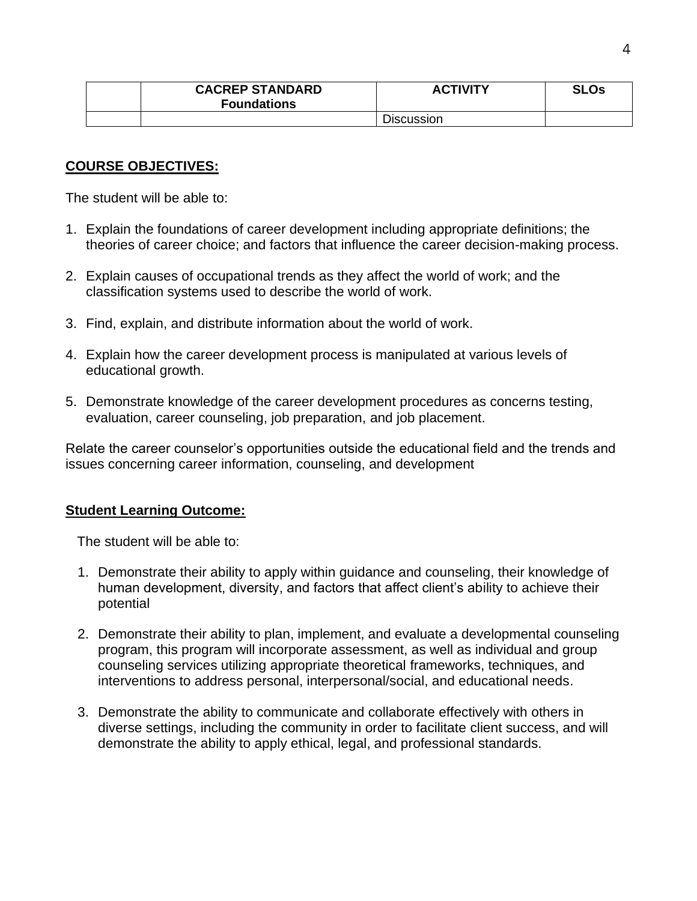| <b>CACREP STANDARD</b><br><b>Foundations</b> | <b>ACTIVITY</b> | <b>SLOs</b> |
|----------------------------------------------|-----------------|-------------|
|                                              | Discussion      |             |

# **COURSE OBJECTIVES:**

The student will be able to:

- 1. Explain the foundations of career development including appropriate definitions; the theories of career choice; and factors that influence the career decision-making process.
- 2. Explain causes of occupational trends as they affect the world of work; and the classification systems used to describe the world of work.
- 3. Find, explain, and distribute information about the world of work.
- 4. Explain how the career development process is manipulated at various levels of educational growth.
- 5. Demonstrate knowledge of the career development procedures as concerns testing, evaluation, career counseling, job preparation, and job placement.

Relate the career counselor's opportunities outside the educational field and the trends and issues concerning career information, counseling, and development

## **Student Learning Outcome:**

The student will be able to:

- 1. Demonstrate their ability to apply within guidance and counseling, their knowledge of human development, diversity, and factors that affect client's ability to achieve their potential
- 2. Demonstrate their ability to plan, implement, and evaluate a developmental counseling program, this program will incorporate assessment, as well as individual and group counseling services utilizing appropriate theoretical frameworks, techniques, and interventions to address personal, interpersonal/social, and educational needs.
- 3. Demonstrate the ability to communicate and collaborate effectively with others in diverse settings, including the community in order to facilitate client success, and will demonstrate the ability to apply ethical, legal, and professional standards.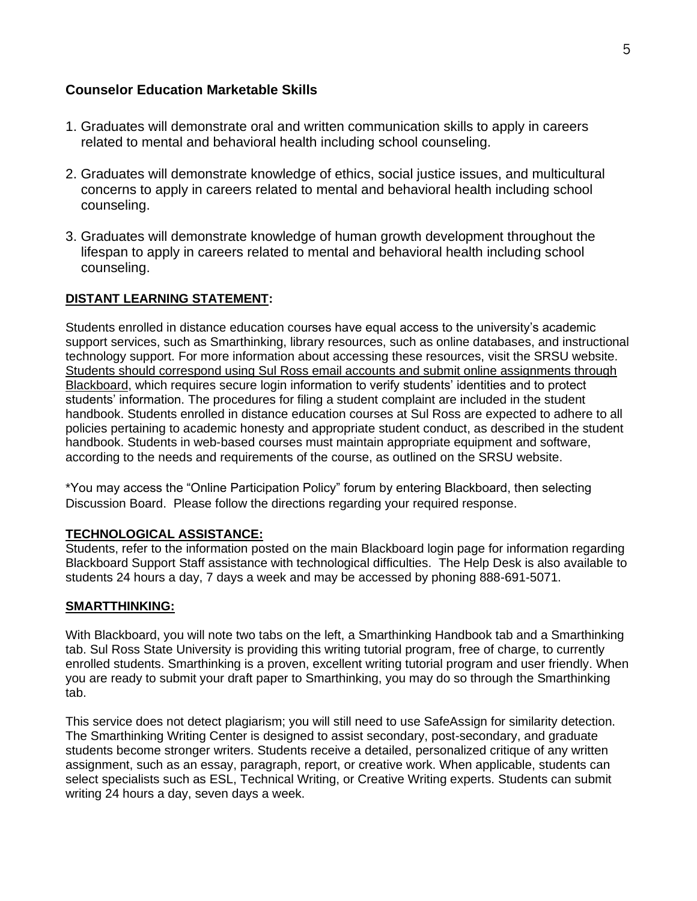## **Counselor Education Marketable Skills**

- 1. Graduates will demonstrate oral and written communication skills to apply in careers related to mental and behavioral health including school counseling.
- 2. Graduates will demonstrate knowledge of ethics, social justice issues, and multicultural concerns to apply in careers related to mental and behavioral health including school counseling.
- 3. Graduates will demonstrate knowledge of human growth development throughout the lifespan to apply in careers related to mental and behavioral health including school counseling.

## **DISTANT LEARNING STATEMENT:**

Students enrolled in distance education courses have equal access to the university's academic support services, such as Smarthinking, library resources, such as online databases, and instructional technology support. For more information about accessing these resources, visit the SRSU website. Students should correspond using Sul Ross email accounts and submit online assignments through Blackboard, which requires secure login information to verify students' identities and to protect students' information. The procedures for filing a student complaint are included in the student handbook. Students enrolled in distance education courses at Sul Ross are expected to adhere to all policies pertaining to academic honesty and appropriate student conduct, as described in the student handbook. Students in web-based courses must maintain appropriate equipment and software, according to the needs and requirements of the course, as outlined on the SRSU website.

\*You may access the "Online Participation Policy" forum by entering Blackboard, then selecting Discussion Board. Please follow the directions regarding your required response.

## **TECHNOLOGICAL ASSISTANCE:**

Students, refer to the information posted on the main Blackboard login page for information regarding Blackboard Support Staff assistance with technological difficulties. The Help Desk is also available to students 24 hours a day, 7 days a week and may be accessed by phoning 888-691-5071.

#### **SMARTTHINKING:**

With Blackboard, you will note two tabs on the left, a Smarthinking Handbook tab and a Smarthinking tab. Sul Ross State University is providing this writing tutorial program, free of charge, to currently enrolled students. Smarthinking is a proven, excellent writing tutorial program and user friendly. When you are ready to submit your draft paper to Smarthinking, you may do so through the Smarthinking tab.

This service does not detect plagiarism; you will still need to use SafeAssign for similarity detection. The Smarthinking Writing Center is designed to assist secondary, post-secondary, and graduate students become stronger writers. Students receive a detailed, personalized critique of any written assignment, such as an essay, paragraph, report, or creative work. When applicable, students can select specialists such as ESL, Technical Writing, or Creative Writing experts. Students can submit writing 24 hours a day, seven days a week.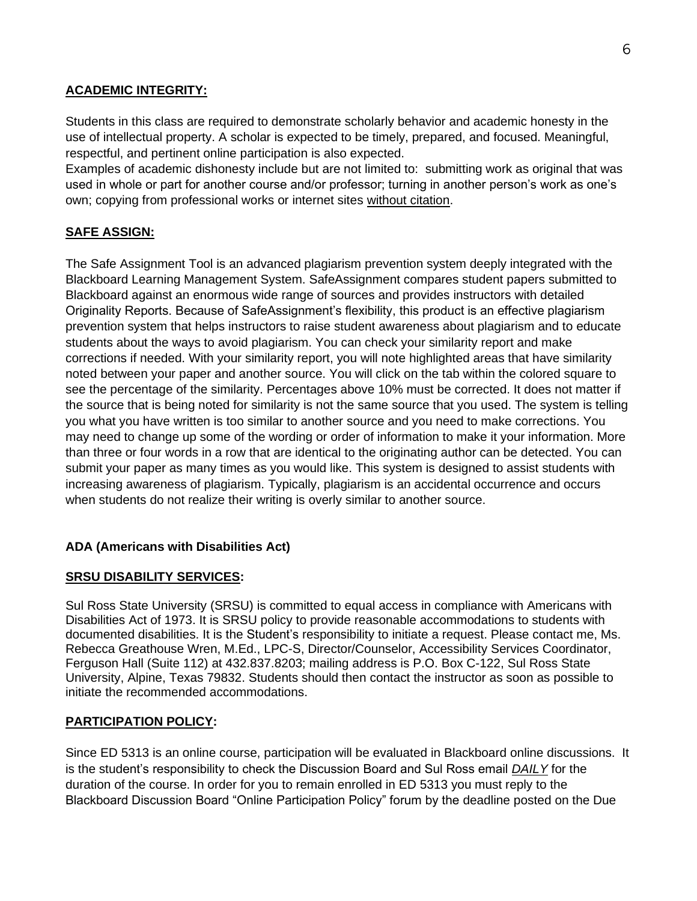#### **ACADEMIC INTEGRITY:**

Students in this class are required to demonstrate scholarly behavior and academic honesty in the use of intellectual property. A scholar is expected to be timely, prepared, and focused. Meaningful, respectful, and pertinent online participation is also expected.

Examples of academic dishonesty include but are not limited to: submitting work as original that was used in whole or part for another course and/or professor; turning in another person's work as one's own; copying from professional works or internet sites without citation.

# **SAFE ASSIGN:**

The Safe Assignment Tool is an advanced plagiarism prevention system deeply integrated with the Blackboard Learning Management System. SafeAssignment compares student papers submitted to Blackboard against an enormous wide range of sources and provides instructors with detailed Originality Reports. Because of SafeAssignment's flexibility, this product is an effective plagiarism prevention system that helps instructors to raise student awareness about plagiarism and to educate students about the ways to avoid plagiarism. You can check your similarity report and make corrections if needed. With your similarity report, you will note highlighted areas that have similarity noted between your paper and another source. You will click on the tab within the colored square to see the percentage of the similarity. Percentages above 10% must be corrected. It does not matter if the source that is being noted for similarity is not the same source that you used. The system is telling you what you have written is too similar to another source and you need to make corrections. You may need to change up some of the wording or order of information to make it your information. More than three or four words in a row that are identical to the originating author can be detected. You can submit your paper as many times as you would like. This system is designed to assist students with increasing awareness of plagiarism. Typically, plagiarism is an accidental occurrence and occurs when students do not realize their writing is overly similar to another source.

## **ADA (Americans with Disabilities Act)**

#### **SRSU DISABILITY SERVICES:**

Sul Ross State University (SRSU) is committed to equal access in compliance with Americans with Disabilities Act of 1973. It is SRSU policy to provide reasonable accommodations to students with documented disabilities. It is the Student's responsibility to initiate a request. Please contact me, Ms. Rebecca Greathouse Wren, M.Ed., LPC-S, Director/Counselor, Accessibility Services Coordinator, Ferguson Hall (Suite 112) at 432.837.8203; mailing address is P.O. Box C-122, Sul Ross State University, Alpine, Texas 79832. Students should then contact the instructor as soon as possible to initiate the recommended accommodations.

## **PARTICIPATION POLICY:**

Since ED 5313 is an online course, participation will be evaluated in Blackboard online discussions. It is the student's responsibility to check the Discussion Board and Sul Ross email *DAILY* for the duration of the course. In order for you to remain enrolled in ED 5313 you must reply to the Blackboard Discussion Board "Online Participation Policy" forum by the deadline posted on the Due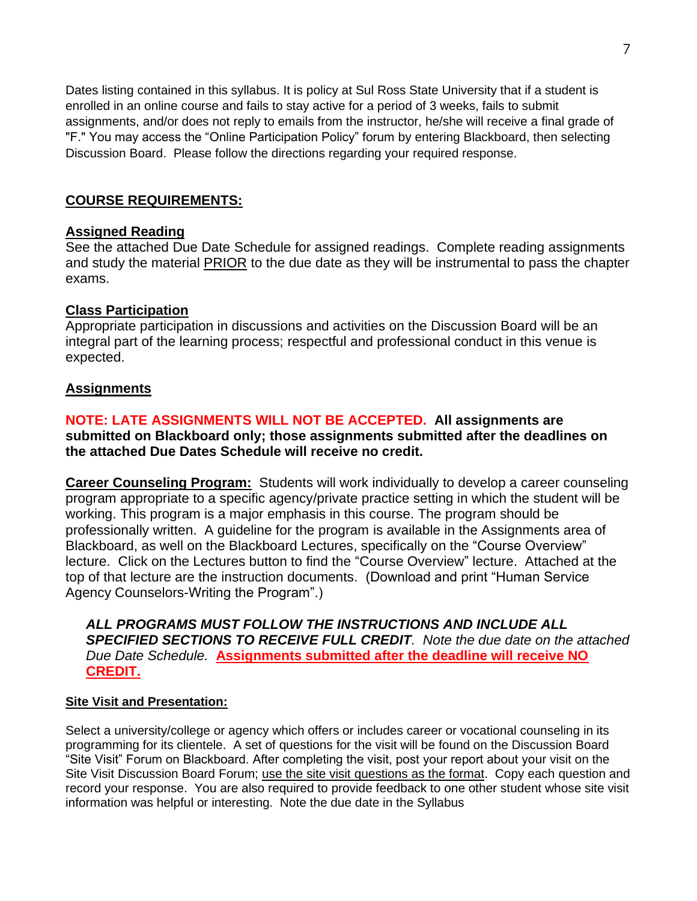Dates listing contained in this syllabus. It is policy at Sul Ross State University that if a student is enrolled in an online course and fails to stay active for a period of 3 weeks, fails to submit assignments, and/or does not reply to emails from the instructor, he/she will receive a final grade of "F." You may access the "Online Participation Policy" forum by entering Blackboard, then selecting Discussion Board. Please follow the directions regarding your required response.

# **COURSE REQUIREMENTS:**

#### **Assigned Reading**

See the attached Due Date Schedule for assigned readings. Complete reading assignments and study the material PRIOR to the due date as they will be instrumental to pass the chapter exams.

## **Class Participation**

Appropriate participation in discussions and activities on the Discussion Board will be an integral part of the learning process; respectful and professional conduct in this venue is expected.

## **Assignments**

### **NOTE: LATE ASSIGNMENTS WILL NOT BE ACCEPTED. All assignments are submitted on Blackboard only; those assignments submitted after the deadlines on the attached Due Dates Schedule will receive no credit.**

**Career Counseling Program:** Students will work individually to develop a career counseling program appropriate to a specific agency/private practice setting in which the student will be working. This program is a major emphasis in this course. The program should be professionally written. A guideline for the program is available in the Assignments area of Blackboard, as well on the Blackboard Lectures, specifically on the "Course Overview" lecture. Click on the Lectures button to find the "Course Overview" lecture. Attached at the top of that lecture are the instruction documents. (Download and print "Human Service Agency Counselors-Writing the Program".)

*ALL PROGRAMS MUST FOLLOW THE INSTRUCTIONS AND INCLUDE ALL SPECIFIED SECTIONS TO RECEIVE FULL CREDIT. Note the due date on the attached Due Date Schedule.* **Assignments submitted after the deadline will receive NO CREDIT.**

#### **Site Visit and Presentation:**

Select a university/college or agency which offers or includes career or vocational counseling in its programming for its clientele. A set of questions for the visit will be found on the Discussion Board "Site Visit" Forum on Blackboard. After completing the visit, post your report about your visit on the Site Visit Discussion Board Forum; use the site visit questions as the format. Copy each question and record your response. You are also required to provide feedback to one other student whose site visit information was helpful or interesting. Note the due date in the Syllabus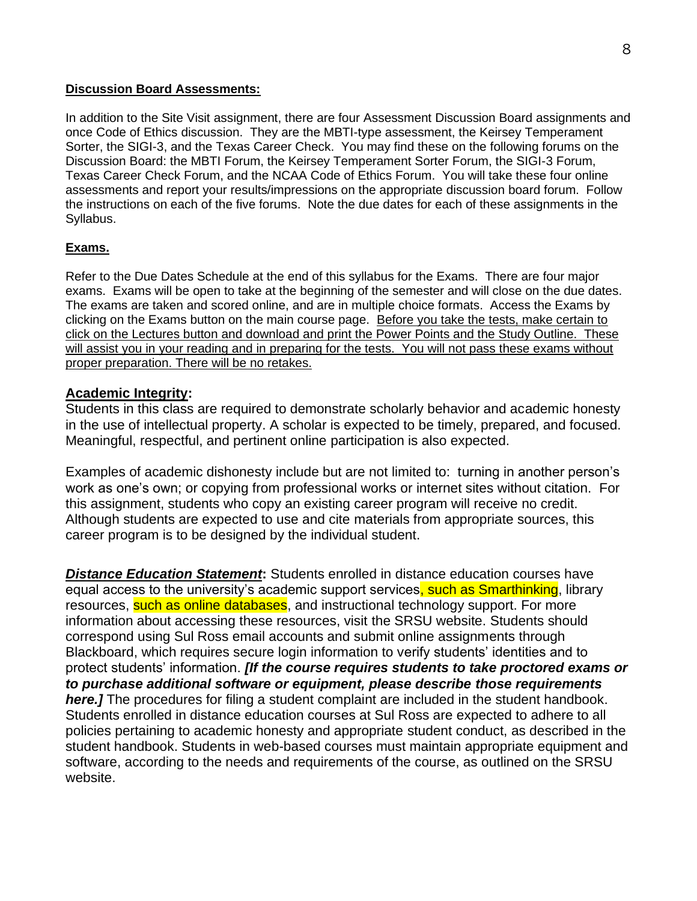#### **Discussion Board Assessments:**

In addition to the Site Visit assignment, there are four Assessment Discussion Board assignments and once Code of Ethics discussion. They are the MBTI-type assessment, the Keirsey Temperament Sorter, the SIGI-3, and the Texas Career Check. You may find these on the following forums on the Discussion Board: the MBTI Forum, the Keirsey Temperament Sorter Forum, the SIGI-3 Forum, Texas Career Check Forum, and the NCAA Code of Ethics Forum. You will take these four online assessments and report your results/impressions on the appropriate discussion board forum. Follow the instructions on each of the five forums. Note the due dates for each of these assignments in the Syllabus.

#### **Exams.**

Refer to the Due Dates Schedule at the end of this syllabus for the Exams. There are four major exams. Exams will be open to take at the beginning of the semester and will close on the due dates. The exams are taken and scored online, and are in multiple choice formats. Access the Exams by clicking on the Exams button on the main course page. Before you take the tests, make certain to click on the Lectures button and download and print the Power Points and the Study Outline. These will assist you in your reading and in preparing for the tests. You will not pass these exams without proper preparation. There will be no retakes.

#### **Academic Integrity:**

Students in this class are required to demonstrate scholarly behavior and academic honesty in the use of intellectual property. A scholar is expected to be timely, prepared, and focused. Meaningful, respectful, and pertinent online participation is also expected.

Examples of academic dishonesty include but are not limited to: turning in another person's work as one's own; or copying from professional works or internet sites without citation. For this assignment, students who copy an existing career program will receive no credit. Although students are expected to use and cite materials from appropriate sources, this career program is to be designed by the individual student.

*Distance Education Statement***:** Students enrolled in distance education courses have equal access to the university's academic support services, such as Smarthinking, library resources, such as online databases, and instructional technology support. For more information about accessing these resources, visit the SRSU website. Students should correspond using Sul Ross email accounts and submit online assignments through Blackboard, which requires secure login information to verify students' identities and to protect students' information. *[If the course requires students to take proctored exams or to purchase additional software or equipment, please describe those requirements*  **here.]** The procedures for filing a student complaint are included in the student handbook. Students enrolled in distance education courses at Sul Ross are expected to adhere to all policies pertaining to academic honesty and appropriate student conduct, as described in the student handbook. Students in web-based courses must maintain appropriate equipment and software, according to the needs and requirements of the course, as outlined on the SRSU website.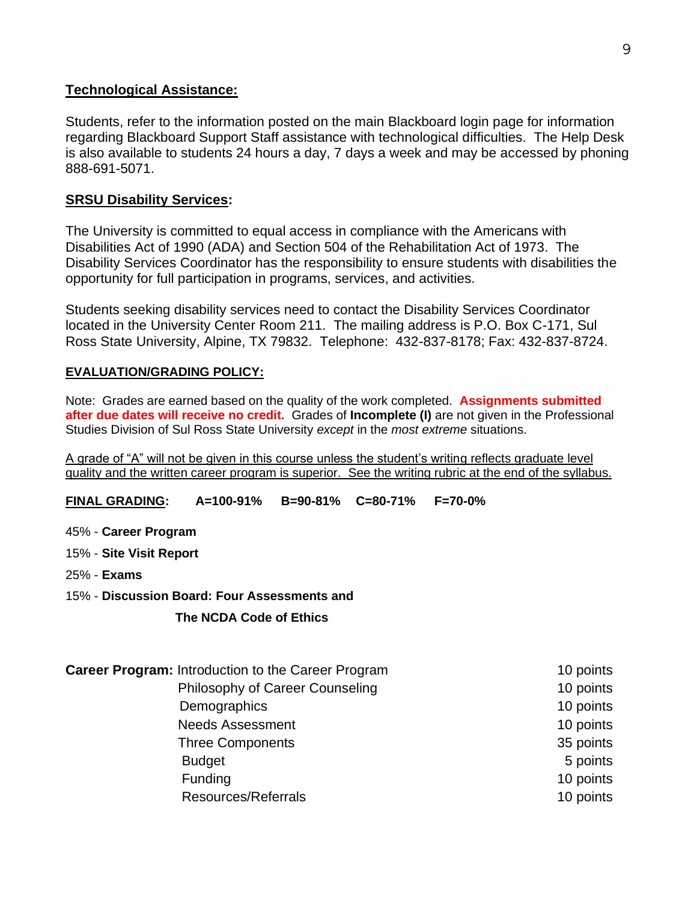# **Technological Assistance:**

Students, refer to the information posted on the main Blackboard login page for information regarding Blackboard Support Staff assistance with technological difficulties. The Help Desk is also available to students 24 hours a day, 7 days a week and may be accessed by phoning 888-691-5071.

# **SRSU Disability Services:**

The University is committed to equal access in compliance with the Americans with Disabilities Act of 1990 (ADA) and Section 504 of the Rehabilitation Act of 1973. The Disability Services Coordinator has the responsibility to ensure students with disabilities the opportunity for full participation in programs, services, and activities.

Students seeking disability services need to contact the Disability Services Coordinator located in the University Center Room 211. The mailing address is P.O. Box C-171, Sul Ross State University, Alpine, TX 79832. Telephone: 432-837-8178; Fax: 432-837-8724.

## **EVALUATION/GRADING POLICY:**

Note: Grades are earned based on the quality of the work completed. **Assignments submitted after due dates will receive no credit.** Grades of **Incomplete (I)** are not given in the Professional Studies Division of Sul Ross State University *except* in the *most extreme* situations.

A grade of "A" will not be given in this course unless the student's writing reflects graduate level quality and the written career program is superior. See the writing rubric at the end of the syllabus.

**FINAL GRADING: A=100-91% B=90-81% C=80-71% F=70-0%**

- 45% **Career Program**
- 15% **Site Visit Report**
- 25% **Exams**
- 15% **Discussion Board: Four Assessments and**

## **The NCDA Code of Ethics**

**Career Program:** Introduction to the Career Program 10 points 10 points Philosophy of Career Counseling 10 points Demographics 10 points Needs Assessment and the set of the set of the 10 points and 10 points Three Components 35 points Budget **5** points Funding 10 points and the set of the set of the set of the set of the set of the set of the set of the set of the set of the set of the set of the set of the set of the set of the set of the set of the set of the set of th Resources/Referrals 10 points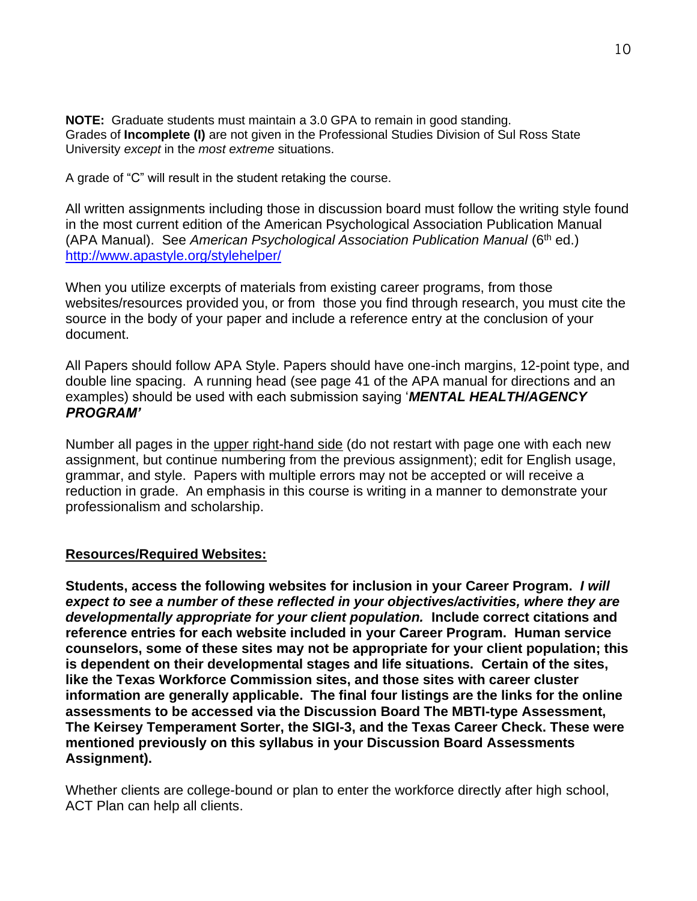**NOTE:** Graduate students must maintain a 3.0 GPA to remain in good standing. Grades of **Incomplete (I)** are not given in the Professional Studies Division of Sul Ross State University *except* in the *most extreme* situations.

A grade of "C" will result in the student retaking the course.

All written assignments including those in discussion board must follow the writing style found in the most current edition of the American Psychological Association Publication Manual (APA Manual). See *American Psychological Association Publication Manual* (6th ed.) <http://www.apastyle.org/stylehelper/>

When you utilize excerpts of materials from existing career programs, from those websites/resources provided you, or from those you find through research, you must cite the source in the body of your paper and include a reference entry at the conclusion of your document.

All Papers should follow APA Style. Papers should have one-inch margins, 12-point type, and double line spacing. A running head (see page 41 of the APA manual for directions and an examples) should be used with each submission saying '*MENTAL HEALTH/AGENCY PROGRAM'*

Number all pages in the upper right-hand side (do not restart with page one with each new assignment, but continue numbering from the previous assignment); edit for English usage, grammar, and style. Papers with multiple errors may not be accepted or will receive a reduction in grade. An emphasis in this course is writing in a manner to demonstrate your professionalism and scholarship.

# **Resources/Required Websites:**

**Students, access the following websites for inclusion in your Career Program.** *I will expect to see a number of these reflected in your objectives/activities, where they are developmentally appropriate for your client population.* **Include correct citations and reference entries for each website included in your Career Program. Human service counselors, some of these sites may not be appropriate for your client population; this is dependent on their developmental stages and life situations. Certain of the sites, like the Texas Workforce Commission sites, and those sites with career cluster information are generally applicable. The final four listings are the links for the online assessments to be accessed via the Discussion Board The MBTI-type Assessment, The Keirsey Temperament Sorter, the SIGI-3, and the Texas Career Check. These were mentioned previously on this syllabus in your Discussion Board Assessments Assignment).**

Whether clients are college-bound or plan to enter the workforce directly after high school, ACT Plan can help all clients.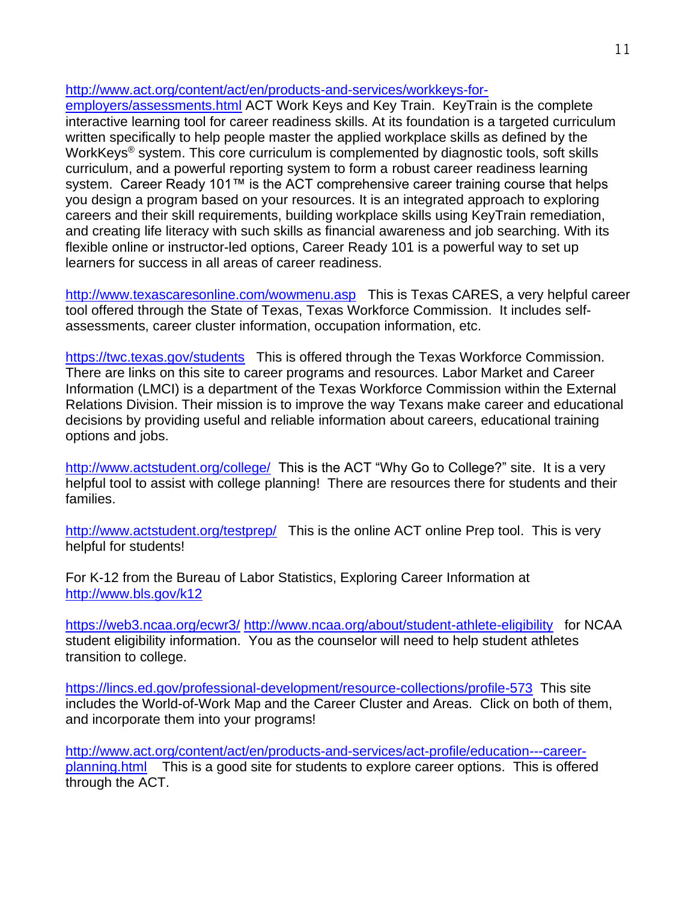[http://www.act.org/content/act/en/products-and-services/workkeys-for-](http://www.act.org/content/act/en/products-and-services/workkeys-for-employers/assessments.html)

[employers/assessments.html](http://www.act.org/content/act/en/products-and-services/workkeys-for-employers/assessments.html) ACT Work Keys and Key Train. KeyTrain is the complete interactive learning tool for career readiness skills. At its foundation is a targeted curriculum written specifically to help people master the applied workplace skills as defined by the WorkKeys<sup>®</sup> system. This core curriculum is complemented by diagnostic tools, soft skills curriculum, and a powerful reporting system to form a robust career readiness learning system. Career Ready 101™ is the ACT comprehensive career training course that helps you design a program based on your resources. It is an integrated approach to exploring careers and their skill requirements, building workplace skills using KeyTrain remediation, and creating life literacy with such skills as financial awareness and job searching. With its flexible online or instructor-led options, Career Ready 101 is a powerful way to set up learners for success in all areas of career readiness.

<http://www.texascaresonline.com/wowmenu.asp> This is Texas CARES, a very helpful career tool offered through the State of Texas, Texas Workforce Commission. It includes selfassessments, career cluster information, occupation information, etc.

<https://twc.texas.gov/students> This is offered through the Texas Workforce Commission. There are links on this site to career programs and resources. Labor Market and Career Information (LMCI) is a department of the Texas Workforce Commission within the External Relations Division. Their mission is to improve the way Texans make career and educational decisions by providing useful and reliable information about careers, educational training options and jobs.

<http://www.actstudent.org/college/>This is the ACT "Why Go to College?" site. It is a very helpful tool to assist with college planning! There are resources there for students and their families.

<http://www.actstudent.org/testprep/> This is the online ACT online Prep tool. This is very helpful for students!

For K-12 from the Bureau of Labor Statistics, Exploring Career Information at <http://www.bls.gov/k12>

<https://web3.ncaa.org/ecwr3/> <http://www.ncaa.org/about/student-athlete-eligibility> for NCAA student eligibility information. You as the counselor will need to help student athletes transition to college.

<https://lincs.ed.gov/professional-development/resource-collections/profile-573> This site includes the World-of-Work Map and the Career Cluster and Areas. Click on both of them, and incorporate them into your programs!

[http://www.act.org/content/act/en/products-and-services/act-profile/education---career](http://www.act.org/content/act/en/products-and-services/act-profile/education---career-planning.html)[planning.html](http://www.act.org/content/act/en/products-and-services/act-profile/education---career-planning.html) This is a good site for students to explore career options. This is offered through the ACT.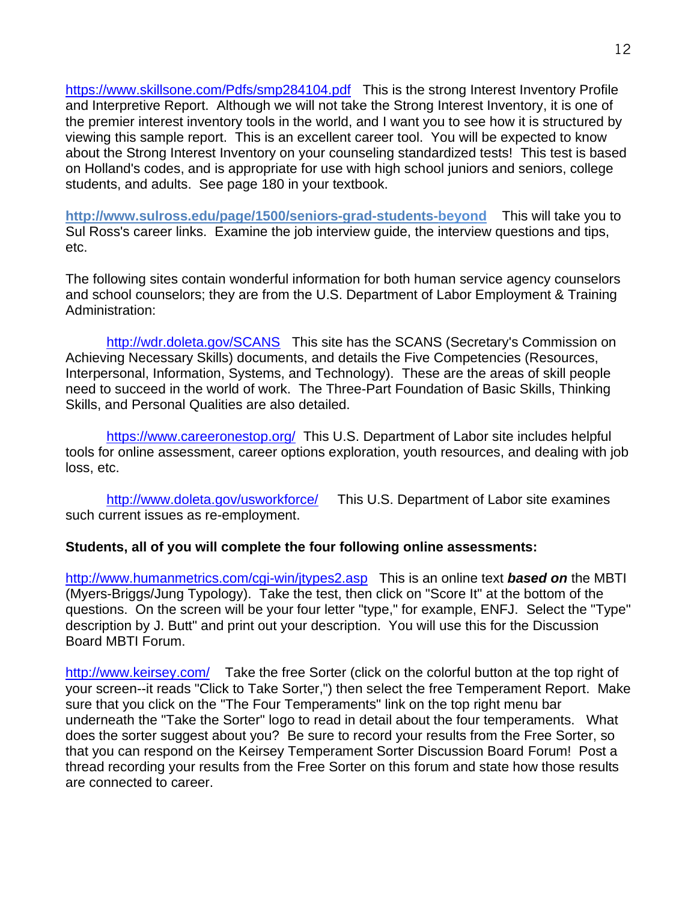<https://www.skillsone.com/Pdfs/smp284104.pdf>This is the strong Interest Inventory Profile and Interpretive Report. Although we will not take the Strong Interest Inventory, it is one of the premier interest inventory tools in the world, and I want you to see how it is structured by viewing this sample report. This is an excellent career tool. You will be expected to know about the Strong Interest Inventory on your counseling standardized tests! This test is based on Holland's codes, and is appropriate for use with high school juniors and seniors, college students, and adults. See page 180 in your textbook.

**http://www.sulross.edu/page/1500/seniors-grad-students-beyond** This will take you to Sul Ross's career links. Examine the job interview guide, the interview questions and tips, etc.

The following sites contain wonderful information for both human service agency counselors and school counselors; they are from the U.S. Department of Labor Employment & Training Administration:

<http://wdr.doleta.gov/SCANS> This site has the SCANS (Secretary's Commission on Achieving Necessary Skills) documents, and details the Five Competencies (Resources, Interpersonal, Information, Systems, and Technology). These are the areas of skill people need to succeed in the world of work. The Three-Part Foundation of Basic Skills, Thinking Skills, and Personal Qualities are also detailed.

<https://www.careeronestop.org/> This U.S. Department of Labor site includes helpful tools for online assessment, career options exploration, youth resources, and dealing with job loss, etc.

<http://www.doleta.gov/usworkforce/> This U.S. Department of Labor site examines such current issues as re-employment.

## **Students, all of you will complete the four following online assessments:**

[http://www.humanmetrics.com/cgi-win/jtypes2.asp](http://www.humanmetrics.com/cgi-win/JTypes2.asp) This is an online text *based on* the MBTI (Myers-Briggs/Jung Typology). Take the test, then click on "Score It" at the bottom of the questions. On the screen will be your four letter "type," for example, ENFJ. Select the "Type" description by J. Butt" and print out your description. You will use this for the Discussion Board MBTI Forum.

<http://www.keirsey.com/>Take the free Sorter (click on the colorful button at the top right of your screen--it reads "Click to Take Sorter,") then select the free Temperament Report. Make sure that you click on the "The Four Temperaments" link on the top right menu bar underneath the "Take the Sorter" logo to read in detail about the four temperaments. What does the sorter suggest about you? Be sure to record your results from the Free Sorter, so that you can respond on the Keirsey Temperament Sorter Discussion Board Forum! Post a thread recording your results from the Free Sorter on this forum and state how those results are connected to career.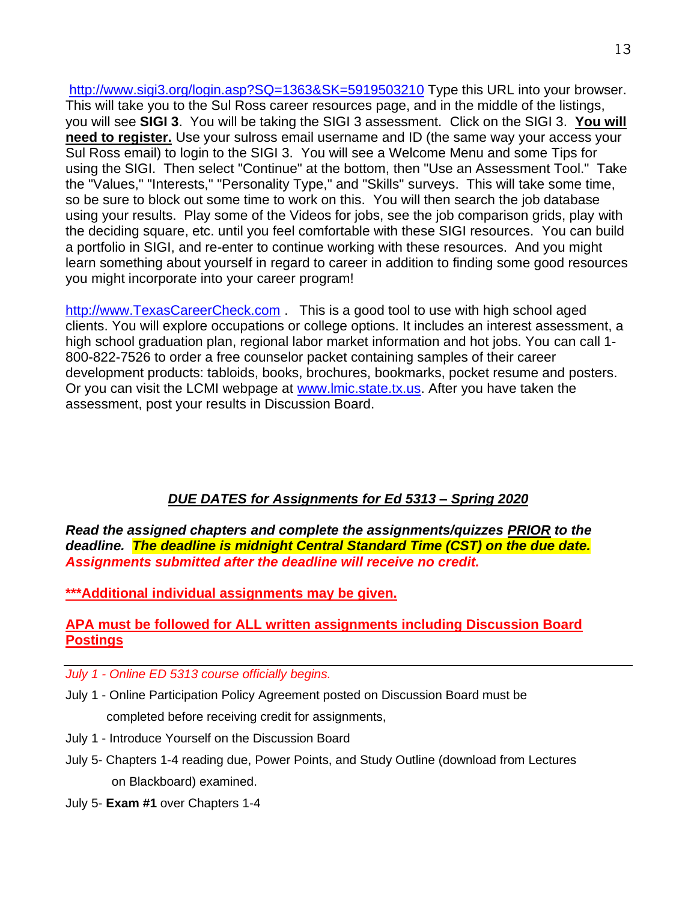<http://www.sigi3.org/login.asp?SQ=1363&SK=5919503210> Type this URL into your browser. This will take you to the Sul Ross career resources page, and in the middle of the listings, you will see **SIGI 3**. You will be taking the SIGI 3 assessment. Click on the SIGI 3. **You will need to register.** Use your sulross email username and ID (the same way your access your Sul Ross email) to login to the SIGI 3. You will see a Welcome Menu and some Tips for using the SIGI. Then select "Continue" at the bottom, then "Use an Assessment Tool." Take the "Values," "Interests," "Personality Type," and "Skills" surveys. This will take some time, so be sure to block out some time to work on this. You will then search the job database using your results. Play some of the Videos for jobs, see the job comparison grids, play with the deciding square, etc. until you feel comfortable with these SIGI resources. You can build a portfolio in SIGI, and re-enter to continue working with these resources. And you might learn something about yourself in regard to career in addition to finding some good resources you might incorporate into your career program!

[http://www.TexasCareerCheck.com](http://www.texascareercheck.com/) . This is a good tool to use with high school aged clients. You will explore occupations or college options. It includes an interest assessment, a high school graduation plan, regional labor market information and hot jobs. You can call 1- 800-822-7526 to order a free counselor packet containing samples of their career development products: tabloids, books, brochures, bookmarks, pocket resume and posters. Or you can visit the LCMI webpage at [www.lmic.state.tx.us.](http://www.lmic.state.tx.us/) After you have taken the assessment, post your results in Discussion Board.

# *DUE DATES for Assignments for Ed 5313 – Spring 2020*

*Read the assigned chapters and complete the assignments/quizzes PRIOR to the deadline. The deadline is midnight Central Standard Time (CST) on the due date. Assignments submitted after the deadline will receive no credit.*

**\*\*\*Additional individual assignments may be given.**

## **APA must be followed for ALL written assignments including Discussion Board Postings**

- *July 1 - Online ED 5313 course officially begins.*
- July 1 Online Participation Policy Agreement posted on Discussion Board must be completed before receiving credit for assignments,
- July 1 Introduce Yourself on the Discussion Board
- July 5- Chapters 1-4 reading due, Power Points, and Study Outline (download from Lectures on Blackboard) examined.
- July 5- **Exam #1** over Chapters 1-4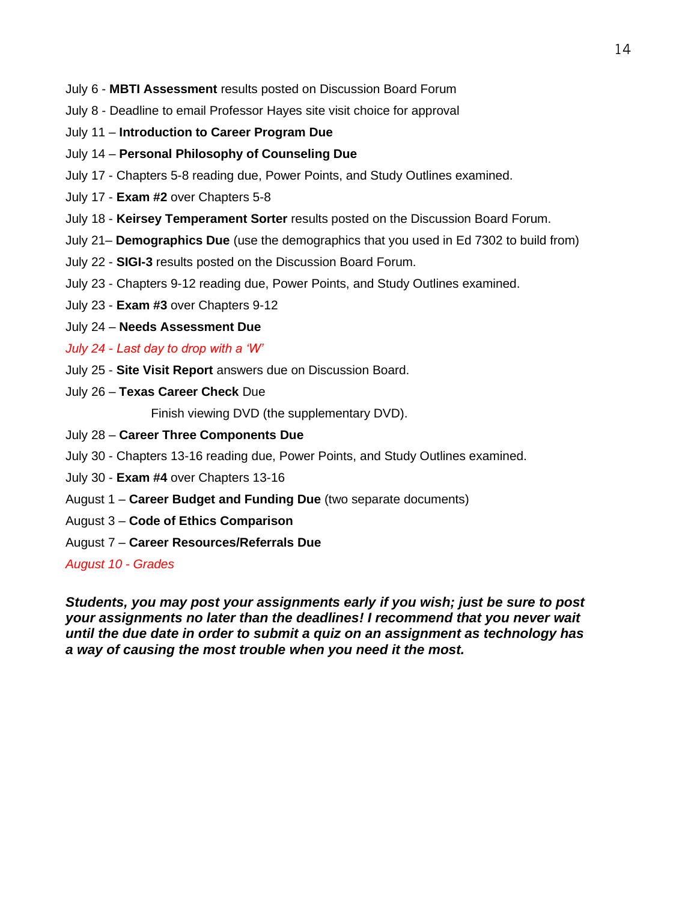- July 6 **MBTI Assessment** results posted on Discussion Board Forum
- July 8 Deadline to email Professor Hayes site visit choice for approval
- July 11 **Introduction to Career Program Due**
- July 14 **Personal Philosophy of Counseling Due**
- July 17 Chapters 5-8 reading due, Power Points, and Study Outlines examined.
- July 17 **Exam #2** over Chapters 5-8
- July 18 **Keirsey Temperament Sorter** results posted on the Discussion Board Forum.
- July 21– **Demographics Due** (use the demographics that you used in Ed 7302 to build from)
- July 22 **SIGI-3** results posted on the Discussion Board Forum.
- July 23 Chapters 9-12 reading due, Power Points, and Study Outlines examined.
- July 23 **Exam #3** over Chapters 9-12
- July 24 **Needs Assessment Due**
- *July 24 - Last day to drop with a 'W'*
- July 25 **Site Visit Report** answers due on Discussion Board.
- July 26 **Texas Career Check** Due

Finish viewing DVD (the supplementary DVD).

- July 28 **Career Three Components Due**
- July 30 Chapters 13-16 reading due, Power Points, and Study Outlines examined.
- July 30 **Exam #4** over Chapters 13-16
- August 1 **Career Budget and Funding Due** (two separate documents)
- August 3 **Code of Ethics Comparison**
- August 7 **Career Resources/Referrals Due**

*August 10 - Grades* 

*Students, you may post your assignments early if you wish; just be sure to post your assignments no later than the deadlines! I recommend that you never wait until the due date in order to submit a quiz on an assignment as technology has a way of causing the most trouble when you need it the most.*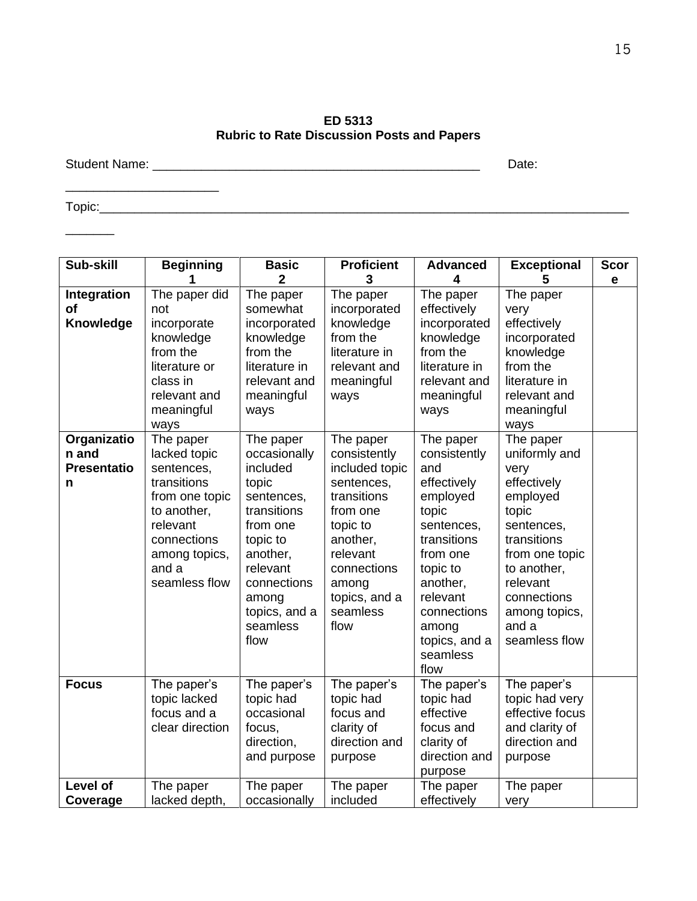**ED 5313 Rubric to Rate Discussion Posts and Papers**

Student Name: \_\_\_\_\_\_\_\_\_\_\_\_\_\_\_\_\_\_\_\_\_\_\_\_\_\_\_\_\_\_\_\_\_\_\_\_\_\_\_\_\_\_\_\_\_\_\_ Date:

 $\overline{\phantom{a}}$  , where  $\overline{\phantom{a}}$ 

Topic:\_\_\_\_\_\_\_\_\_\_\_\_\_\_\_\_\_\_\_\_\_\_\_\_\_\_\_\_\_\_\_\_\_\_\_\_\_\_\_\_\_\_\_\_\_\_\_\_\_\_\_\_\_\_\_\_\_\_\_\_\_\_\_\_\_\_\_\_\_\_\_\_\_\_\_\_

 $\overline{\phantom{a}}$ 

| Sub-skill                                       | <b>Beginning</b>                                                                                                                                              | <b>Basic</b><br>$\overline{2}$                                                                                                                                                           | <b>Proficient</b><br>3                                                                                                                                                                | <b>Advanced</b><br>$\overline{\mathbf{4}}$                                                                                                                                                                     | <b>Exceptional</b><br>5                                                                                                                                                                                    | <b>Scor</b><br>e |
|-------------------------------------------------|---------------------------------------------------------------------------------------------------------------------------------------------------------------|------------------------------------------------------------------------------------------------------------------------------------------------------------------------------------------|---------------------------------------------------------------------------------------------------------------------------------------------------------------------------------------|----------------------------------------------------------------------------------------------------------------------------------------------------------------------------------------------------------------|------------------------------------------------------------------------------------------------------------------------------------------------------------------------------------------------------------|------------------|
| Integration<br>of<br>Knowledge                  | The paper did<br>not<br>incorporate<br>knowledge<br>from the<br>literature or<br>class in<br>relevant and<br>meaningful<br>ways                               | The paper<br>somewhat<br>incorporated<br>knowledge<br>from the<br>literature in<br>relevant and<br>meaningful<br>ways                                                                    | The paper<br>incorporated<br>knowledge<br>from the<br>literature in<br>relevant and<br>meaningful<br>ways                                                                             | The paper<br>effectively<br>incorporated<br>knowledge<br>from the<br>literature in<br>relevant and<br>meaningful<br>ways                                                                                       | The paper<br>very<br>effectively<br>incorporated<br>knowledge<br>from the<br>literature in<br>relevant and<br>meaningful<br>ways                                                                           |                  |
| Organizatio<br>n and<br><b>Presentatio</b><br>n | The paper<br>lacked topic<br>sentences,<br>transitions<br>from one topic<br>to another,<br>relevant<br>connections<br>among topics,<br>and a<br>seamless flow | The paper<br>occasionally<br>included<br>topic<br>sentences,<br>transitions<br>from one<br>topic to<br>another,<br>relevant<br>connections<br>among<br>topics, and a<br>seamless<br>flow | The paper<br>consistently<br>included topic<br>sentences,<br>transitions<br>from one<br>topic to<br>another,<br>relevant<br>connections<br>among<br>topics, and a<br>seamless<br>flow | The paper<br>consistently<br>and<br>effectively<br>employed<br>topic<br>sentences,<br>transitions<br>from one<br>topic to<br>another,<br>relevant<br>connections<br>among<br>topics, and a<br>seamless<br>flow | The paper<br>uniformly and<br>very<br>effectively<br>employed<br>topic<br>sentences,<br>transitions<br>from one topic<br>to another,<br>relevant<br>connections<br>among topics,<br>and a<br>seamless flow |                  |
| <b>Focus</b>                                    | The paper's<br>topic lacked<br>focus and a<br>clear direction                                                                                                 | The paper's<br>topic had<br>occasional<br>focus,<br>direction,<br>and purpose                                                                                                            | The paper's<br>topic had<br>focus and<br>clarity of<br>direction and<br>purpose                                                                                                       | The paper's<br>topic had<br>effective<br>focus and<br>clarity of<br>direction and<br>purpose                                                                                                                   | The paper's<br>topic had very<br>effective focus<br>and clarity of<br>direction and<br>purpose                                                                                                             |                  |
| <b>Level of</b><br>Coverage                     | The paper<br>lacked depth,                                                                                                                                    | The paper<br>occasionally                                                                                                                                                                | The paper<br>included                                                                                                                                                                 | The paper<br>effectively                                                                                                                                                                                       | The paper<br>very                                                                                                                                                                                          |                  |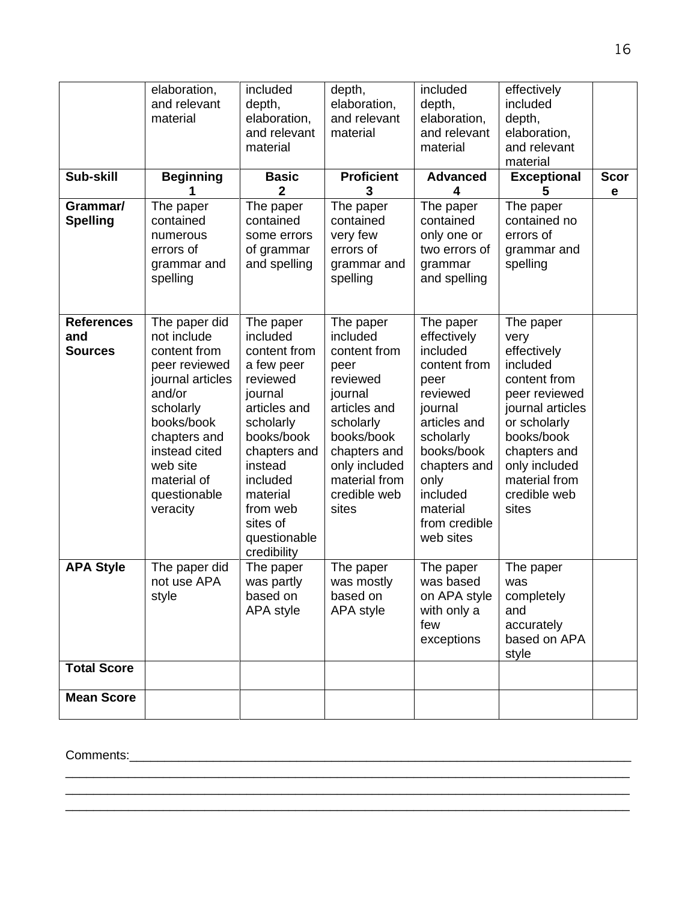| Sub-skill<br>Grammar/<br><b>Spelling</b>   | elaboration,<br>and relevant<br>material<br><b>Beginning</b><br>1<br>The paper<br>contained                                                                                                                    | included<br>depth,<br>elaboration,<br>and relevant<br>material<br><b>Basic</b><br>$\overline{2}$<br>The paper<br>contained                                                                                                      | depth,<br>elaboration,<br>and relevant<br>material<br><b>Proficient</b><br>3<br>The paper<br>contained                                                                                     | included<br>depth,<br>elaboration,<br>and relevant<br>material<br><b>Advanced</b><br>4<br>The paper<br>contained                                                                                             | effectively<br>included<br>depth,<br>elaboration,<br>and relevant<br>material<br><b>Exceptional</b><br>5<br>The paper<br>contained no                                                                      | <b>Scor</b><br>e |
|--------------------------------------------|----------------------------------------------------------------------------------------------------------------------------------------------------------------------------------------------------------------|---------------------------------------------------------------------------------------------------------------------------------------------------------------------------------------------------------------------------------|--------------------------------------------------------------------------------------------------------------------------------------------------------------------------------------------|--------------------------------------------------------------------------------------------------------------------------------------------------------------------------------------------------------------|------------------------------------------------------------------------------------------------------------------------------------------------------------------------------------------------------------|------------------|
|                                            | numerous<br>errors of<br>grammar and<br>spelling                                                                                                                                                               | some errors<br>of grammar<br>and spelling                                                                                                                                                                                       | very few<br>errors of<br>grammar and<br>spelling                                                                                                                                           | only one or<br>two errors of<br>grammar<br>and spelling                                                                                                                                                      | errors of<br>grammar and<br>spelling                                                                                                                                                                       |                  |
| <b>References</b><br>and<br><b>Sources</b> | The paper did<br>not include<br>content from<br>peer reviewed<br>journal articles<br>and/or<br>scholarly<br>books/book<br>chapters and<br>instead cited<br>web site<br>material of<br>questionable<br>veracity | The paper<br>included<br>content from<br>a few peer<br>reviewed<br>journal<br>articles and<br>scholarly<br>books/book<br>chapters and<br>instead<br>included<br>material<br>from web<br>sites of<br>questionable<br>credibility | The paper<br>included<br>content from<br>peer<br>reviewed<br>journal<br>articles and<br>scholarly<br>books/book<br>chapters and<br>only included<br>material from<br>credible web<br>sites | The paper<br>effectively<br>included<br>content from<br>peer<br>reviewed<br>journal<br>articles and<br>scholarly<br>books/book<br>chapters and<br>only<br>included<br>material<br>from credible<br>web sites | The paper<br>very<br>effectively<br>included<br>content from<br>peer reviewed<br>journal articles<br>or scholarly<br>books/book<br>chapters and<br>only included<br>material from<br>credible web<br>sites |                  |
| <b>APA Style</b>                           | The paper did<br>not use APA<br>style                                                                                                                                                                          | The paper<br>was partly<br>based on<br>APA style                                                                                                                                                                                | The paper<br>was mostly<br>based on<br>APA style                                                                                                                                           | The paper<br>was based<br>on APA style<br>with only a<br>few<br>exceptions                                                                                                                                   | The paper<br>was<br>completely<br>and<br>accurately<br>based on APA<br>style                                                                                                                               |                  |
| <b>Total Score</b><br><b>Mean Score</b>    |                                                                                                                                                                                                                |                                                                                                                                                                                                                                 |                                                                                                                                                                                            |                                                                                                                                                                                                              |                                                                                                                                                                                                            |                  |

\_\_\_\_\_\_\_\_\_\_\_\_\_\_\_\_\_\_\_\_\_\_\_\_\_\_\_\_\_\_\_\_\_\_\_\_\_\_\_\_\_\_\_\_\_\_\_\_\_\_\_\_\_\_\_\_\_\_\_\_\_\_\_\_\_\_\_\_\_\_\_\_\_\_\_\_\_\_\_\_\_ \_\_\_\_\_\_\_\_\_\_\_\_\_\_\_\_\_\_\_\_\_\_\_\_\_\_\_\_\_\_\_\_\_\_\_\_\_\_\_\_\_\_\_\_\_\_\_\_\_\_\_\_\_\_\_\_\_\_\_\_\_\_\_\_\_\_\_\_\_\_\_\_\_\_\_\_\_\_\_\_\_

Comments:\_\_\_\_\_\_\_\_\_\_\_\_\_\_\_\_\_\_\_\_\_\_\_\_\_\_\_\_\_\_\_\_\_\_\_\_\_\_\_\_\_\_\_\_\_\_\_\_\_\_\_\_\_\_\_\_\_\_\_\_\_\_\_\_\_\_\_\_\_\_\_\_

 $\frac{1}{2}$  ,  $\frac{1}{2}$  ,  $\frac{1}{2}$  ,  $\frac{1}{2}$  ,  $\frac{1}{2}$  ,  $\frac{1}{2}$  ,  $\frac{1}{2}$  ,  $\frac{1}{2}$  ,  $\frac{1}{2}$  ,  $\frac{1}{2}$  ,  $\frac{1}{2}$  ,  $\frac{1}{2}$  ,  $\frac{1}{2}$  ,  $\frac{1}{2}$  ,  $\frac{1}{2}$  ,  $\frac{1}{2}$  ,  $\frac{1}{2}$  ,  $\frac{1}{2}$  ,  $\frac{1$